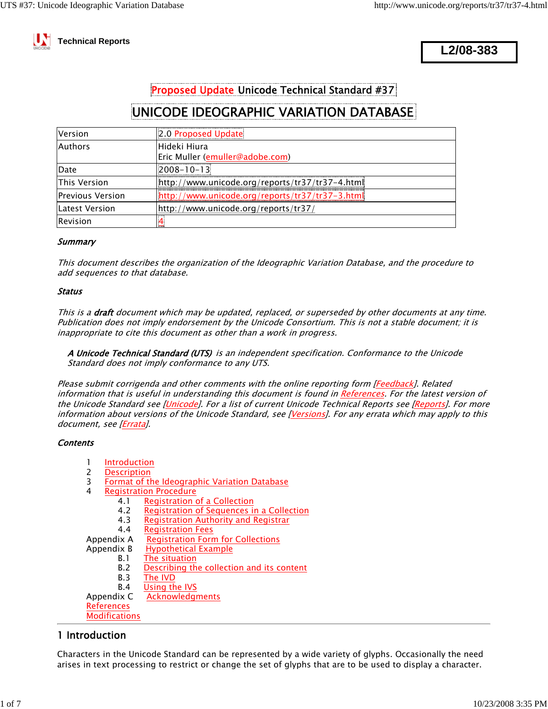

 **Technical Reports**

**L2/08-383**

# Proposed Update Unicode Technical Standard #37

# UNICODE IDEOGRAPHIC VARIATION DATABASE

| Version                  | 2.0 Proposed Update                              |
|--------------------------|--------------------------------------------------|
| <b>Authors</b>           | lHideki Hiura<br>Eric Muller (emuller@adobe.com) |
| Date                     | $008 - 10 - 13$                                  |
| <b>This Version</b>      | http://www.unicode.org/reports/tr37/tr37-4.html  |
| <b>IPrevious Version</b> | http://www.unicode.org/reports/tr37/tr37-3.html  |
| Latest Version           | http://www.unicode.org/reports/tr37/             |
| Revision                 |                                                  |

### **Summary**

This document describes the organization of the Ideographic Variation Database, and the procedure to add sequences to that database.

#### **Status**

This is a draft document which may be updated, replaced, or superseded by other documents at any time. Publication does not imply endorsement by the Unicode Consortium. This is not a stable document; it is inappropriate to cite this document as other than a work in progress.

A Unicode Technical Standard (UTS) is an independent specification. Conformance to the Unicode Standard does not imply conformance to any UTS.

Please submit corrigenda and other comments with the online reporting form [Feedback]. Related information that is useful in understanding this document is found in References. For the latest version of the Unicode Standard see [Unicode]. For a list of current Unicode Technical Reports see [Reports]. For more information about versions of the Unicode Standard, see [Versions]. For any errata which may apply to this document, see [Errata].

### **Contents**

- 1 Introduction
- 2 Description<br>3 Format of th
- 3 Format of the Ideographic Variation Database<br>4 Registration Procedure
	- **Registration Procedure** 
		- 4.1 Registration of a Collection<br>4.2 Registration of Seguences in
			- **Registration of Sequences in a Collection**
		- 4.3 Registration Authority and Registrar
		- 4.4 Registration Fees

Appendix A Registration Form for Collections

- Appendix B Hypothetical Example
	- B.1 The situation<br>B.2 Describing th
		- Describing the collection and its content
		- B.3 The IVD
		- B.4 Using the IVS
- Appendix C Acknowledgments
- References
- **Modifications**

# 1 Introduction

Characters in the Unicode Standard can be represented by a wide variety of glyphs. Occasionally the need arises in text processing to restrict or change the set of glyphs that are to be used to display a character.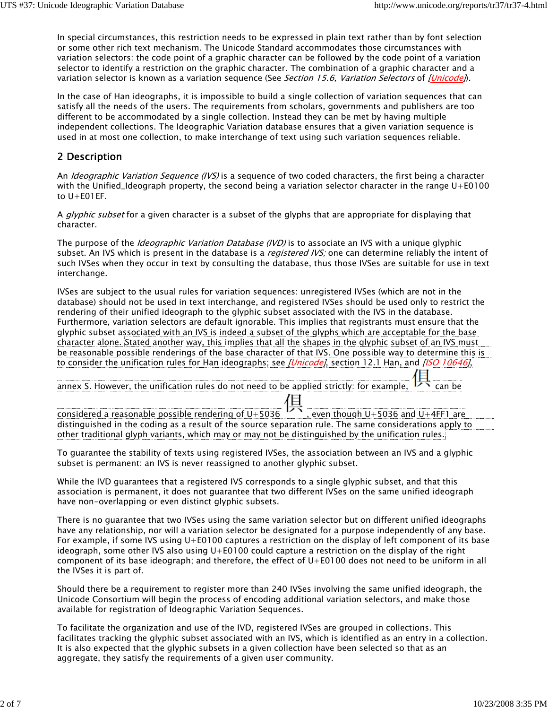In special circumstances, this restriction needs to be expressed in plain text rather than by font selection or some other rich text mechanism. The Unicode Standard accommodates those circumstances with variation selectors: the code point of a graphic character can be followed by the code point of a variation selector to identify a restriction on the graphic character. The combination of a graphic character and a variation selector is known as a variation sequence (See Section 15.6, Variation Selectors of [Unicode]).

In the case of Han ideographs, it is impossible to build a single collection of variation sequences that can satisfy all the needs of the users. The requirements from scholars, governments and publishers are too different to be accommodated by a single collection. Instead they can be met by having multiple independent collections. The Ideographic Variation database ensures that a given variation sequence is used in at most one collection, to make interchange of text using such variation sequences reliable.

## 2 Description

An *Ideographic Variation Sequence (IVS)* is a sequence of two coded characters, the first being a character with the Unified\_Ideograph property, the second being a variation selector character in the range U+E0100 to U+E01EF.

A *glyphic subset* for a given character is a subset of the glyphs that are appropriate for displaying that character.

The purpose of the *Ideographic Variation Database (IVD)* is to associate an IVS with a unique glyphic subset. An IVS which is present in the database is a *registered IVS;* one can determine reliably the intent of such IVSes when they occur in text by consulting the database, thus those IVSes are suitable for use in text interchange.

IVSes are subject to the usual rules for variation sequences: unregistered IVSes (which are not in the database) should not be used in text interchange, and registered IVSes should be used only to restrict the rendering of their unified ideograph to the glyphic subset associated with the IVS in the database. Furthermore, variation selectors are default ignorable. This implies that registrants must ensure that the glyphic subset associated with an IVS is indeed a subset of the glyphs which are acceptable for the base character alone. Stated another way, this implies that all the shapes in the glyphic subset of an IVS must be reasonable possible renderings of the base character of that IVS. One possible way to determine this is to consider the unification rules for Han ideographs; see [Unicode], section 12.1 Han, and [ISO 10646],

annex S. However, the unification rules do not need to be applied strictly: for example,  $\overrightarrow{P}$  can be<br>considered a reasonable possible rendering of U+5036  $\overrightarrow{P}$ , even though U+5036 and U+4FF1 are<br>considered a reason considered a reasonable possible rendering of  $U+5036$ distinguished in the coding as a result of the source separation rule. The same considerations apply to other traditional glyph variants, which may or may not be distinguished by the unification rules.

To guarantee the stability of texts using registered IVSes, the association between an IVS and a glyphic subset is permanent: an IVS is never reassigned to another glyphic subset.

While the IVD guarantees that a registered IVS corresponds to a single glyphic subset, and that this association is permanent, it does not guarantee that two different IVSes on the same unified ideograph have non-overlapping or even distinct glyphic subsets.

There is no guarantee that two IVSes using the same variation selector but on different unified ideographs have any relationship, nor will a variation selector be designated for a purpose independently of any base. For example, if some IVS using U+E0100 captures a restriction on the display of left component of its base ideograph, some other IVS also using U+E0100 could capture a restriction on the display of the right component of its base ideograph; and therefore, the effect of U+E0100 does not need to be uniform in all the IVSes it is part of.

Should there be a requirement to register more than 240 IVSes involving the same unified ideograph, the Unicode Consortium will begin the process of encoding additional variation selectors, and make those available for registration of Ideographic Variation Sequences.

To facilitate the organization and use of the IVD, registered IVSes are grouped in collections. This facilitates tracking the glyphic subset associated with an IVS, which is identified as an entry in a collection. It is also expected that the glyphic subsets in a given collection have been selected so that as an aggregate, they satisfy the requirements of a given user community.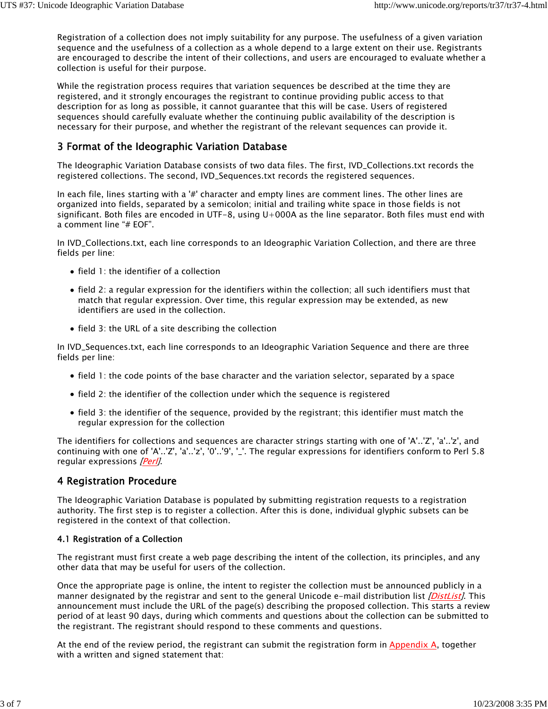Registration of a collection does not imply suitability for any purpose. The usefulness of a given variation sequence and the usefulness of a collection as a whole depend to a large extent on their use. Registrants are encouraged to describe the intent of their collections, and users are encouraged to evaluate whether a collection is useful for their purpose.

While the registration process requires that variation sequences be described at the time they are registered, and it strongly encourages the registrant to continue providing public access to that description for as long as possible, it cannot guarantee that this will be case. Users of registered sequences should carefully evaluate whether the continuing public availability of the description is necessary for their purpose, and whether the registrant of the relevant sequences can provide it.

### 3 Format of the Ideographic Variation Database

The Ideographic Variation Database consists of two data files. The first, IVD\_Collections.txt records the registered collections. The second, IVD\_Sequences.txt records the registered sequences.

In each file, lines starting with a '#' character and empty lines are comment lines. The other lines are organized into fields, separated by a semicolon; initial and trailing white space in those fields is not significant. Both files are encoded in UTF-8, using U+000A as the line separator. Both files must end with a comment line "# EOF".

In IVD\_Collections.txt, each line corresponds to an Ideographic Variation Collection, and there are three fields per line:

- field 1: the identifier of a collection
- field 2: a regular expression for the identifiers within the collection; all such identifiers must that match that regular expression. Over time, this regular expression may be extended, as new identifiers are used in the collection.
- $\bullet$  field 3: the URL of a site describing the collection

In IVD\_Sequences.txt, each line corresponds to an Ideographic Variation Sequence and there are three fields per line:

- field 1: the code points of the base character and the variation selector, separated by a space
- field 2: the identifier of the collection under which the sequence is registered
- field 3: the identifier of the sequence, provided by the registrant; this identifier must match the regular expression for the collection

The identifiers for collections and sequences are character strings starting with one of 'A'..'Z', 'a'..'z', and continuing with one of 'A'..'Z', 'a'..'z', '0'..'9', '\_'. The regular expressions for identifiers conform to Perl 5.8 regular expressions [Perl].

### 4 Registration Procedure

The Ideographic Variation Database is populated by submitting registration requests to a registration authority. The first step is to register a collection. After this is done, individual glyphic subsets can be registered in the context of that collection.

### 4.1 Registration of a Collection

The registrant must first create a web page describing the intent of the collection, its principles, and any other data that may be useful for users of the collection.

Once the appropriate page is online, the intent to register the collection must be announced publicly in a manner designated by the registrar and sent to the general Unicode e-mail distribution list [DistList]. This announcement must include the URL of the page(s) describing the proposed collection. This starts a review period of at least 90 days, during which comments and questions about the collection can be submitted to the registrant. The registrant should respond to these comments and questions.

At the end of the review period, the registrant can submit the registration form in Appendix A, together with a written and signed statement that: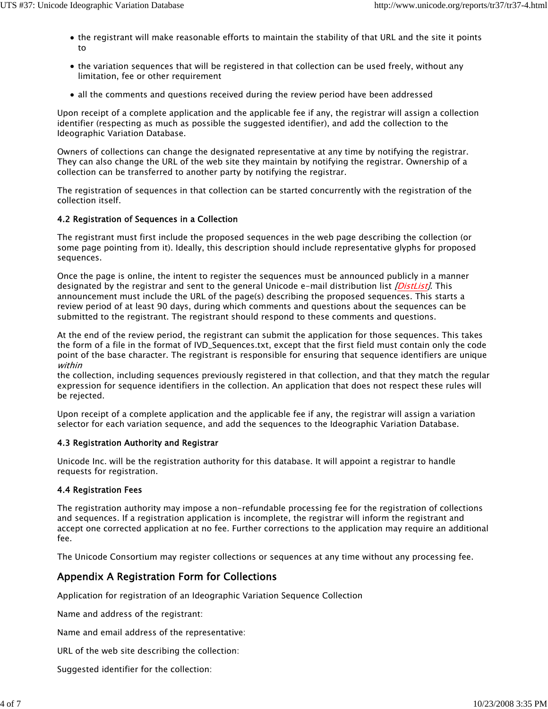- the registrant will make reasonable efforts to maintain the stability of that URL and the site it points to
- the variation sequences that will be registered in that collection can be used freely, without any limitation, fee or other requirement
- all the comments and questions received during the review period have been addressed

Upon receipt of a complete application and the applicable fee if any, the registrar will assign a collection identifier (respecting as much as possible the suggested identifier), and add the collection to the Ideographic Variation Database.

Owners of collections can change the designated representative at any time by notifying the registrar. They can also change the URL of the web site they maintain by notifying the registrar. Ownership of a collection can be transferred to another party by notifying the registrar.

The registration of sequences in that collection can be started concurrently with the registration of the collection itself.

### 4.2 Registration of Sequences in a Collection

The registrant must first include the proposed sequences in the web page describing the collection (or some page pointing from it). Ideally, this description should include representative glyphs for proposed sequences.

Once the page is online, the intent to register the sequences must be announced publicly in a manner designated by the registrar and sent to the general Unicode e-mail distribution list *[DistList]*. This announcement must include the URL of the page(s) describing the proposed sequences. This starts a review period of at least 90 days, during which comments and questions about the sequences can be submitted to the registrant. The registrant should respond to these comments and questions.

At the end of the review period, the registrant can submit the application for those sequences. This takes the form of a file in the format of IVD\_Sequences.txt, except that the first field must contain only the code point of the base character. The registrant is responsible for ensuring that sequence identifiers are unique within

the collection, including sequences previously registered in that collection, and that they match the regular expression for sequence identifiers in the collection. An application that does not respect these rules will be rejected.

Upon receipt of a complete application and the applicable fee if any, the registrar will assign a variation selector for each variation sequence, and add the sequences to the Ideographic Variation Database.

#### 4.3 Registration Authority and Registrar

Unicode Inc. will be the registration authority for this database. It will appoint a registrar to handle requests for registration.

### 4.4 Registration Fees

The registration authority may impose a non-refundable processing fee for the registration of collections and sequences. If a registration application is incomplete, the registrar will inform the registrant and accept one corrected application at no fee. Further corrections to the application may require an additional fee.

The Unicode Consortium may register collections or sequences at any time without any processing fee.

### Appendix A Registration Form for Collections

Application for registration of an Ideographic Variation Sequence Collection

Name and address of the registrant:

Name and email address of the representative:

URL of the web site describing the collection:

Suggested identifier for the collection: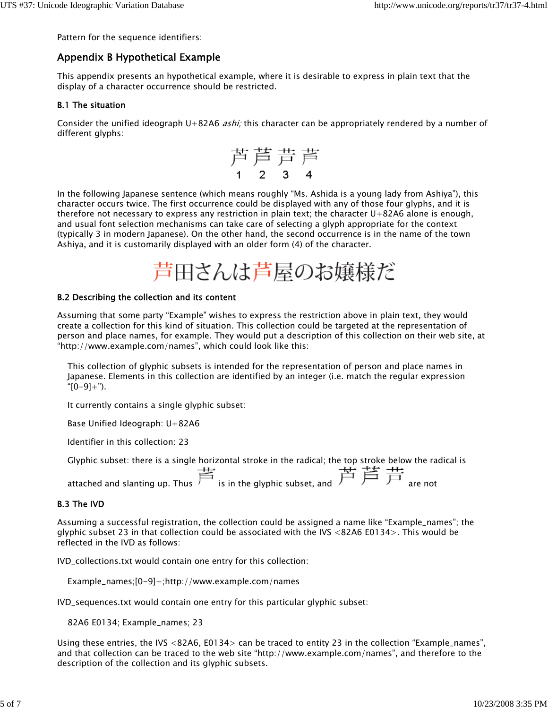Pattern for the sequence identifiers:

### Appendix B Hypothetical Example

This appendix presents an hypothetical example, where it is desirable to express in plain text that the display of a character occurrence should be restricted.

#### B.1 The situation

Consider the unified ideograph U+82A6 *ashi;* this character can be appropriately rendered by a number of different glyphs:

 \n 
$$
\stackrel{\frown}{\cancel{P}} \stackrel{\frown}{\cancel{P}} \stackrel{\frown}{\cancel{P}}
$$

In the following Japanese sentence (which means roughly "Ms. Ashida is a young lady from Ashiya"), this character occurs twice. The first occurrence could be displayed with any of those four glyphs, and it is therefore not necessary to express any restriction in plain text; the character U+82A6 alone is enough, and usual font selection mechanisms can take care of selecting a glyph appropriate for the context (typically 3 in modern Japanese). On the other hand, the second occurrence is in the name of the town Ashiya, and it is customarily displayed with an older form (4) of the character.

#### B.2 Describing the collection and its content

Assuming that some party "Example" wishes to express the restriction above in plain text, they would create a collection for this kind of situation. This collection could be targeted at the representation of person and place names, for example. They would put a description of this collection on their web site, at "http://www.example.com/names", which could look like this:

This collection of glyphic subsets is intended for the representation of person and place names in Japanese. Elements in this collection are identified by an integer (i.e. match the regular expression  $"(0-9]+")$ .

It currently contains a single glyphic subset:

Base Unified Ideograph: U+82A6

Identifier in this collection: 23

Glyphic subset: there is a single horizontal stroke in the radical; the top stroke below the radical is<br> $\frac{1}{\sqrt{11}}$ attached and slanting up. Thus  $\overrightarrow{F}$  is in the glyphic subset, and  $\overrightarrow{F}$   $\overrightarrow{F}$  are not

### B.3 The IVD

Assuming a successful registration, the collection could be assigned a name like "Example\_names"; the glyphic subset 23 in that collection could be associated with the IVS <82A6 E0134>. This would be reflected in the IVD as follows:

IVD\_collections.txt would contain one entry for this collection:

Example\_names;[0-9]+;http://www.example.com/names

IVD\_sequences.txt would contain one entry for this particular glyphic subset:

82A6 E0134; Example\_names; 23

Using these entries, the IVS <82A6, E0134> can be traced to entity 23 in the collection "Example\_names", and that collection can be traced to the web site "http://www.example.com/names", and therefore to the description of the collection and its glyphic subsets.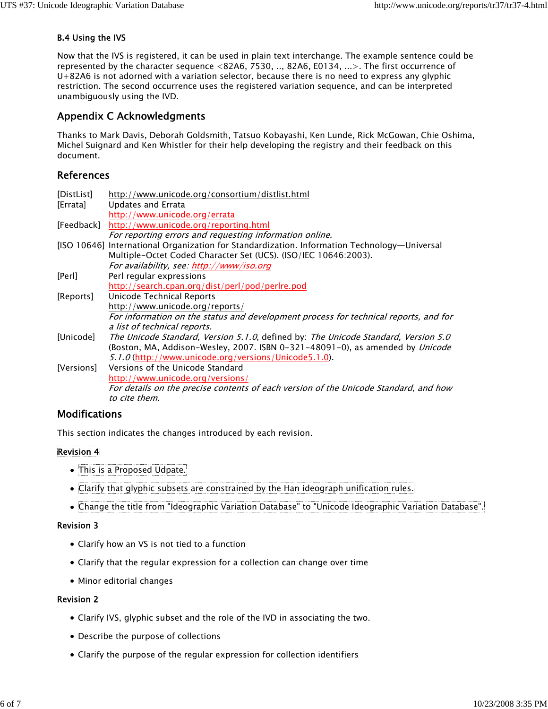### B.4 Using the IVS

Now that the IVS is registered, it can be used in plain text interchange. The example sentence could be represented by the character sequence <82A6, 7530, .., 82A6, E0134, ...>. The first occurrence of U+82A6 is not adorned with a variation selector, because there is no need to express any glyphic restriction. The second occurrence uses the registered variation sequence, and can be interpreted unambiguously using the IVD.

### Appendix C Acknowledgments

Thanks to Mark Davis, Deborah Goldsmith, Tatsuo Kobayashi, Ken Lunde, Rick McGowan, Chie Oshima, Michel Suignard and Ken Whistler for their help developing the registry and their feedback on this document.

### References

| [DistList] | http://www.unicode.org/consortium/distlist.html                                              |
|------------|----------------------------------------------------------------------------------------------|
| [Errata]   | Updates and Errata                                                                           |
|            | http://www.unicode.org/errata                                                                |
| [Feedback] | http://www.unicode.org/reporting.html                                                        |
|            | For reporting errors and requesting information online.                                      |
|            | [ISO 10646] International Organization for Standardization. Information Technology—Universal |
|            | Multiple-Octet Coded Character Set (UCS). (ISO/IEC 10646:2003).                              |
|            | For availability, see: http://www/iso.org                                                    |
| [Perl]     | Perl regular expressions                                                                     |
|            | http://search.cpan.org/dist/perl/pod/perlre.pod                                              |
| [Reports]  | Unicode Technical Reports                                                                    |
|            | http://www.unicode.org/reports/                                                              |
|            | For information on the status and development process for technical reports, and for         |
|            | a list of technical reports.                                                                 |
| [Unicode]  | The Unicode Standard, Version 5.1.0, defined by: The Unicode Standard, Version 5.0           |
|            | (Boston, MA, Addison-Wesley, 2007. ISBN 0-321-48091-0), as amended by Unicode                |
|            | 5.1.0 (http://www.unicode.org/versions/Unicode5.1.0).                                        |
| [Versions] | Versions of the Unicode Standard                                                             |
|            | http://www.unicode.org/versions/                                                             |
|            | For details on the precise contents of each version of the Unicode Standard, and how         |
|            | to cite them.                                                                                |

### Modifications

This section indicates the changes introduced by each revision.

### Revision 4

- This is a Proposed Udpate.
- Clarify that glyphic subsets are constrained by the Han ideograph unification rules.
- Change the title from "Ideographic Variation Database" to "Unicode Ideographic Variation Database".

### Revision 3

- Clarify how an VS is not tied to a function
- Clarify that the regular expression for a collection can change over time
- Minor editorial changes

### Revision 2

- Clarify IVS, glyphic subset and the role of the IVD in associating the two.
- Describe the purpose of collections
- Clarify the purpose of the regular expression for collection identifiers